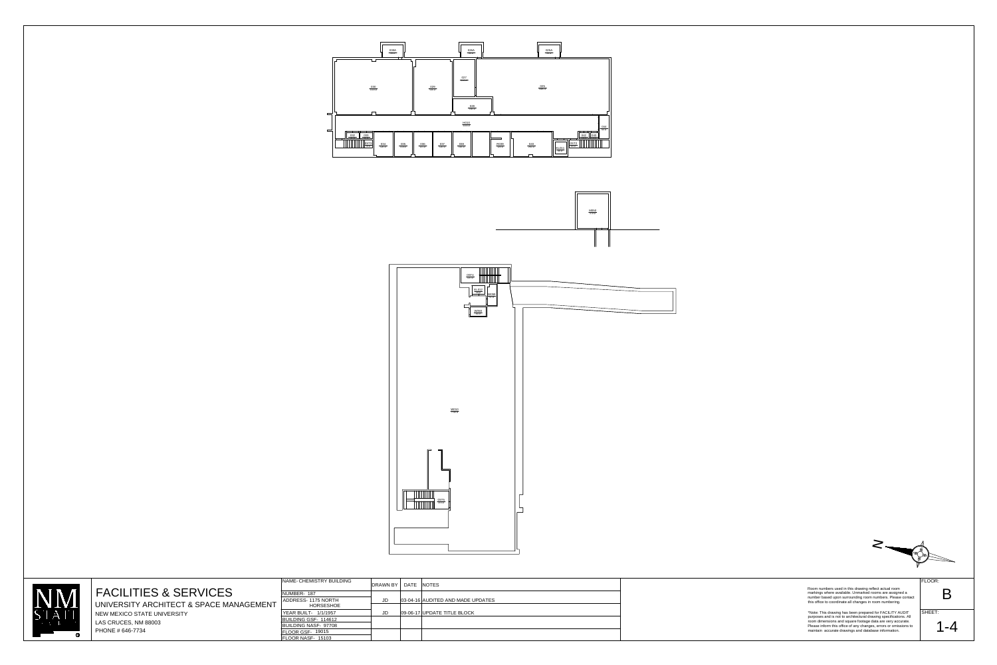





| <b>FACILITIES &amp; SERVICES</b><br>UNIVERSITY ARCHITECT & SPACE MANAGEMENT | NAME-CHEMISTRY BUILDING<br>NUMBER-187<br>ADDRESS- 1175 NORTH<br><b>HORSESHOE</b>                              | DRAWN BY   DATE NOTES | 03-04-16 AUDITED AND MADE UPDATES | Room numbers used in this drawing reflect actual room<br>markings where available. Unmarked rooms are assigned a<br>number based upon surrounding room numbers. Please contact<br>this office to coordinate all changes in room numbering.                                                                             | FLOOR:<br>Β       |
|-----------------------------------------------------------------------------|---------------------------------------------------------------------------------------------------------------|-----------------------|-----------------------------------|------------------------------------------------------------------------------------------------------------------------------------------------------------------------------------------------------------------------------------------------------------------------------------------------------------------------|-------------------|
| NEW MEXICO STATE UNIVERSITY<br>LAS CRUCES, NM 88003<br>PHONE # 646-7734     | YEAR BUILT- 1/1/1957<br>BUILDING GSF- 114612<br>BUILDING NASF- 97708<br>FLOOR GSF- 19015<br>FLOOR NASF- 15103 |                       | 09-06-17 UPDATE TITLE BLOCK       | *Note: This drawing has been prepared for FACILITY AUDIT<br>purposes and is not to architectural drawing specifications. All<br>room dimensions and square footage data are very accurate.<br>Please inform this office of any changes, errors or omissions to<br>maintain accurate drawings and database information. | SHEET:<br>$1 - 4$ |

 $\sum_{i=1}^{n}$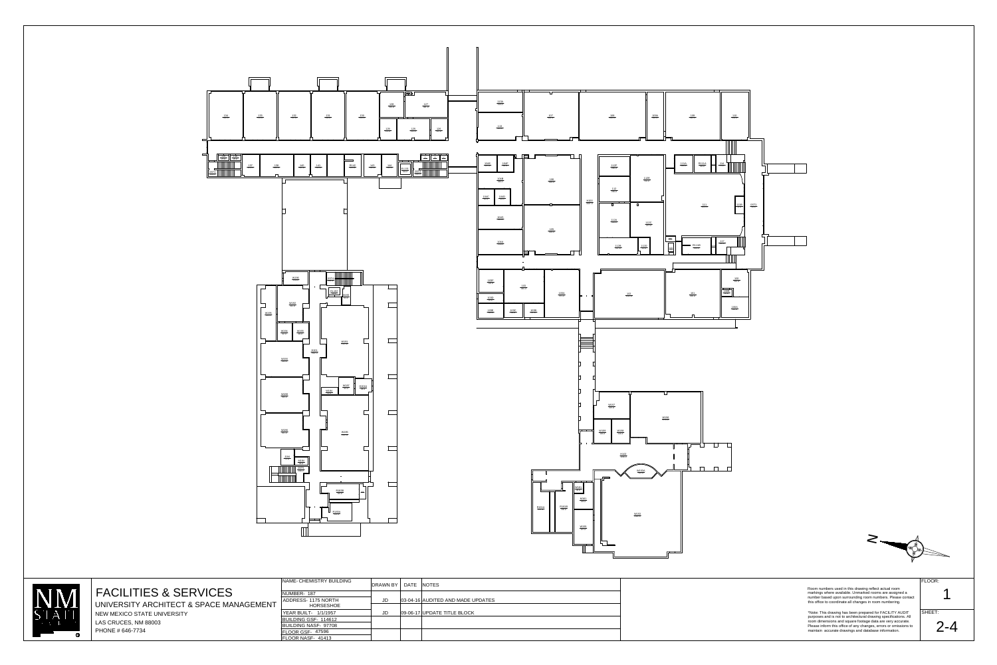



**FACILITIES & SERVICES** 

UNIVERSITY ARCHITECT & SPACE MANAGEMENT NEW MEXICO STATE UNIVERSITY LAS CRUCES, NM 88003 PHONE # 646-7734

NAME-CHEMISTRY BUILDIN

NUMBER-187 ADDRESS-1175 NORTH HORSESHOE **YEAR BUILT- 1/1/1957** BUILDING GSF- 114612 BUILDING NASF-97708 FLOOR GSF-47596 FLOOR NASF- 41413

| NG | DRAWN BY | DATE NOTES |                                   |  |
|----|----------|------------|-----------------------------------|--|
|    |          |            |                                   |  |
|    | JD       |            | 03-04-16 AUDITED AND MADE UPDATES |  |
|    |          |            |                                   |  |
|    | JD       |            | 09-06-17 UPDATE TITLE BLOCK       |  |
|    |          |            |                                   |  |
|    |          |            |                                   |  |
|    |          |            |                                   |  |
|    |          |            |                                   |  |

FLOOR:

SHEET:

Room numbers used in this drawing reflect actual room<br>markings where available. Unmarked rooms are assigned a<br>number based upon surrounding room numbers. Please contact<br>this office to coordinate all changes in room numberi

\*Note: This drawing has been prepared for FACILITY AUDIT<br>purposes and is not to architectural drawing specifications. All<br>room dimensions and square footage data are very accurate.<br>Please inform this office of any changes,

 $2 - 4$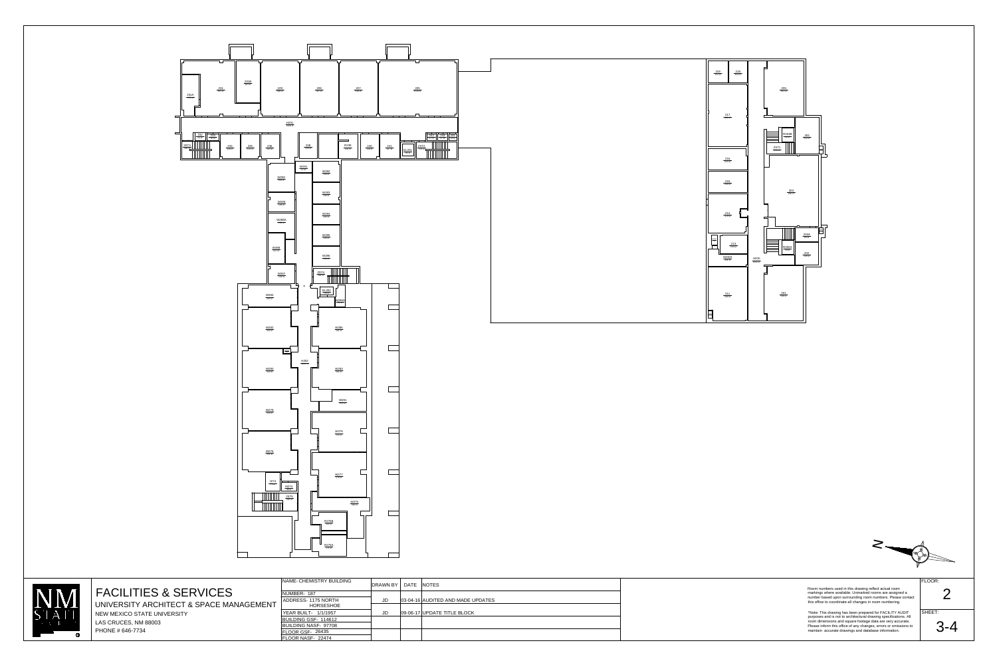



## LN. D UNIVERSITY

الص

| NAME- CHEMISTRY BUILDING                                      | DRAWN BY   DATE   NOTES |                                   | Room numbers used in this drawing reflect actual room                                                                                                                                      | FLOOR:    |
|---------------------------------------------------------------|-------------------------|-----------------------------------|--------------------------------------------------------------------------------------------------------------------------------------------------------------------------------------------|-----------|
| NUMBER- 187<br>ADDRESS- 1175 NORTH<br>HORSESHOE               | <b>JD</b>               | 03-04-16 AUDITED AND MADE UPDATES | markings where available. Unmarked rooms are assigned a<br>number based upon surrounding room numbers. Please contact<br>this office to coordinate all changes in room numbering.          | $\bullet$ |
| YEAR BUILT- 1/1/1957<br>BUILDING GSF- 114612                  | <b>JD</b>               | 09-06-17 UPDATE TITLE BLOCK       | *Note: This drawing has been prepared for FACILITY AUDIT<br>purposes and is not to architectural drawing specifications. All<br>room dimensions and square footage data are very accurate. | SHEET:    |
| BUILDING NASF- 97708<br>FLOOR GSF- 26435<br>FLOOR NASF- 22474 |                         |                                   | Please inform this office of any changes, errors or omissions to<br>maintain accurate drawings and database information.                                                                   | $3 - 4$   |